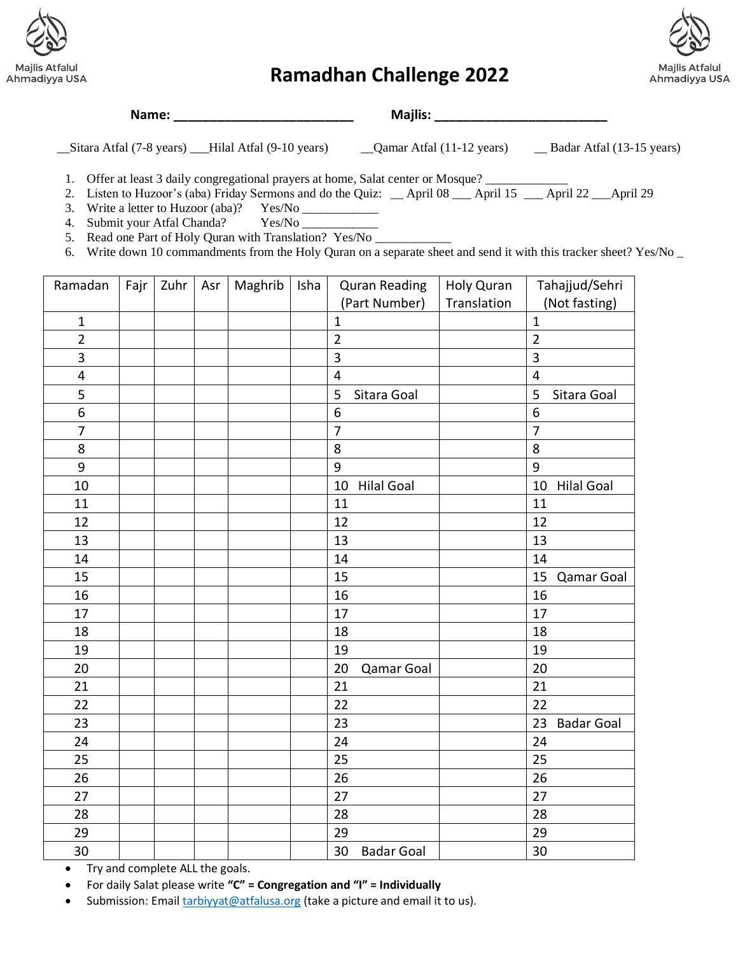



## **Ramadhan Challenge 2022**

**Name: \_\_\_\_\_\_\_\_\_\_\_\_\_\_\_\_\_\_\_\_\_\_\_\_\_ Majlis: \_\_\_\_\_\_\_\_\_\_\_\_\_\_\_\_\_\_\_\_\_\_\_\_**

\_\_Sitara Atfal (7-8 years) \_\_\_Hilal Atfal (9-10 years) \_\_Qamar Atfal (11-12 years) \_\_ Badar Atfal (13-15 years)

1. Offer at least 3 daily congregational prayers at home, Salat center or Mosque?

2. Listen to Huzoor's (aba) Friday Sermons and do the Quiz: \_\_ April 08 \_\_\_ April 15 \_\_ April 22 \_\_\_April 29

3. Write a letter to Huzoor (aba)? Yes/No \_\_\_\_\_\_\_\_\_\_\_\_

4. Submit your Atfal Chanda? Yes/No \_

5. Read one Part of Holy Quran with Translation? Yes/No \_

6. Write down 10 commandments from the Holy Quran on a separate sheet and send it with this tracker sheet? Yes/No \_

| Ramadan        | Fajr | Zuhr | Asr | Maghrib | Isha | <b>Quran Reading</b>    | Holy Quran  | Tahajjud/Sehri          |
|----------------|------|------|-----|---------|------|-------------------------|-------------|-------------------------|
|                |      |      |     |         |      | (Part Number)           | Translation | (Not fasting)           |
| $\mathbf{1}$   |      |      |     |         |      | $\mathbf{1}$            |             | $\mathbf{1}$            |
| $\overline{2}$ |      |      |     |         |      | $\overline{2}$          |             | $\overline{2}$          |
| 3              |      |      |     |         |      | $\overline{\mathbf{3}}$ |             | $\overline{\mathbf{3}}$ |
| 4              |      |      |     |         |      | $\overline{4}$          |             | $\overline{\mathbf{4}}$ |
| 5              |      |      |     |         |      | 5<br>Sitara Goal        |             | 5<br>Sitara Goal        |
| 6              |      |      |     |         |      | 6                       |             | 6                       |
| $\overline{7}$ |      |      |     |         |      | $\overline{7}$          |             | $\overline{7}$          |
| 8              |      |      |     |         |      | 8                       |             | 8                       |
| 9              |      |      |     |         |      | 9                       |             | 9                       |
| 10             |      |      |     |         |      | <b>Hilal Goal</b><br>10 |             | 10<br><b>Hilal Goal</b> |
| 11             |      |      |     |         |      | 11                      |             | 11                      |
| 12             |      |      |     |         |      | 12                      |             | 12                      |
| 13             |      |      |     |         |      | 13                      |             | 13                      |
| 14             |      |      |     |         |      | 14                      |             | 14                      |
| 15             |      |      |     |         |      | 15                      |             | 15<br>Qamar Goal        |
| 16             |      |      |     |         |      | 16                      |             | 16                      |
| 17             |      |      |     |         |      | 17                      |             | 17                      |
| 18             |      |      |     |         |      | 18                      |             | 18                      |
| 19             |      |      |     |         |      | 19                      |             | 19                      |
| 20             |      |      |     |         |      | 20<br>Qamar Goal        |             | 20                      |
| 21             |      |      |     |         |      | 21                      |             | 21                      |
| 22             |      |      |     |         |      | 22                      |             | 22                      |
| 23             |      |      |     |         |      | 23                      |             | 23<br><b>Badar Goal</b> |
| 24             |      |      |     |         |      | 24                      |             | 24                      |
| 25             |      |      |     |         |      | 25                      |             | 25                      |
| 26             |      |      |     |         |      | 26                      |             | 26                      |
| 27             |      |      |     |         |      | 27                      |             | 27                      |
| 28             |      |      |     |         |      | 28                      |             | 28                      |
| 29             |      |      |     |         |      | 29                      |             | 29                      |
| 30             |      |      |     |         |      | 30<br><b>Badar Goal</b> |             | 30                      |

• Try and complete ALL the goals.

• For daily Salat please write **"C" = Congregation and "I" = Individually** 

• Submission: Emai[l tarbiyyat@atfalusa.org](mailto:tarbiyyat@atfalusa.org) (take a picture and email it to us).